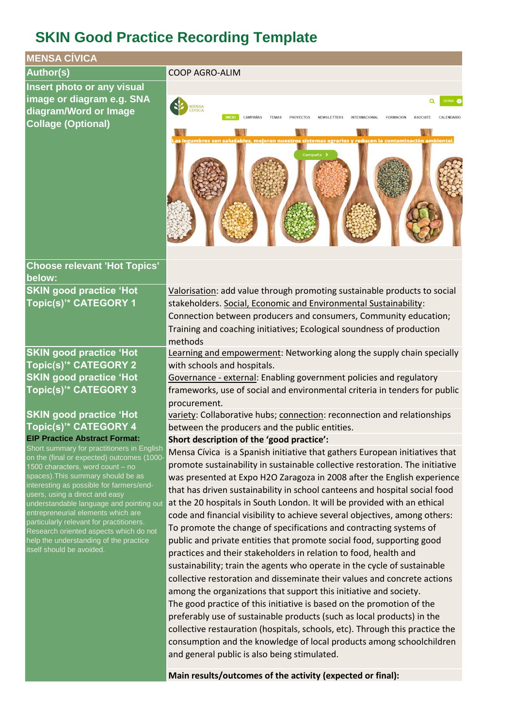# **SKIN Good Practice Recording Template**



**Main results/outcomes of the activity (expected or final):**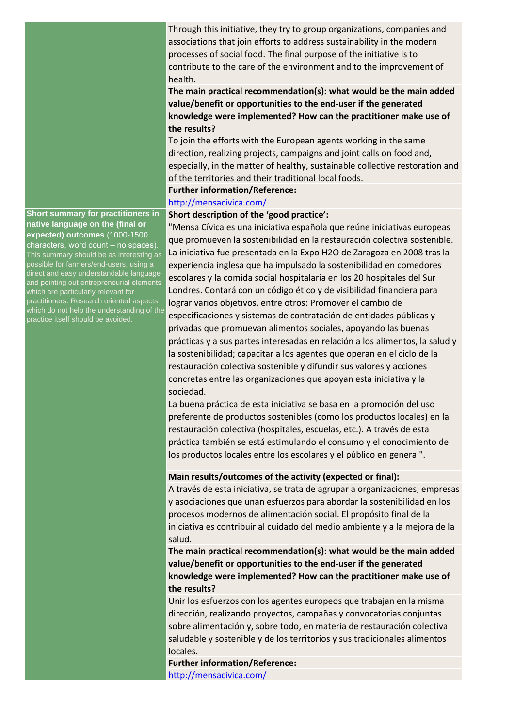Through this initiative, they try to group organizations, companies and associations that join efforts to address sustainability in the modern processes of social food. The final purpose of the initiative is to contribute to the care of the environment and to the improvement of health.

**The main practical recommendation(s): what would be the main added value/benefit or opportunities to the end-user if the generated knowledge were implemented? How can the practitioner make use of the results?**

To join the efforts with the European agents working in the same direction, realizing projects, campaigns and joint calls on food and, especially, in the matter of healthy, sustainable collective restoration and of the territories and their traditional local foods.

#### **Further information/Reference:**

### <http://mensacivica.com/>

## **Short description of the 'good practice':**

"Mensa Cívica es una iniciativa española que reúne iniciativas europeas que promueven la sostenibilidad en la restauración colectiva sostenible. La iniciativa fue presentada en la Expo H2O de Zaragoza en 2008 tras la experiencia inglesa que ha impulsado la sostenibilidad en comedores escolares y la comida social hospitalaria en los 20 hospitales del Sur Londres. Contará con un código ético y de visibilidad financiera para lograr varios objetivos, entre otros: Promover el cambio de especificaciones y sistemas de contratación de entidades públicas y privadas que promuevan alimentos sociales, apoyando las buenas prácticas y a sus partes interesadas en relación a los alimentos, la salud y la sostenibilidad; capacitar a los agentes que operan en el ciclo de la restauración colectiva sostenible y difundir sus valores y acciones concretas entre las organizaciones que apoyan esta iniciativa y la sociedad.

La buena práctica de esta iniciativa se basa en la promoción del uso preferente de productos sostenibles (como los productos locales) en la restauración colectiva (hospitales, escuelas, etc.). A través de esta práctica también se está estimulando el consumo y el conocimiento de los productos locales entre los escolares y el público en general".

## **Main results/outcomes of the activity (expected or final):**

A través de esta iniciativa, se trata de agrupar a organizaciones, empresas y asociaciones que unan esfuerzos para abordar la sostenibilidad en los procesos modernos de alimentación social. El propósito final de la iniciativa es contribuir al cuidado del medio ambiente y a la mejora de la salud.

**The main practical recommendation(s): what would be the main added value/benefit or opportunities to the end-user if the generated knowledge were implemented? How can the practitioner make use of the results?**

Unir los esfuerzos con los agentes europeos que trabajan en la misma dirección, realizando proyectos, campañas y convocatorias conjuntas sobre alimentación y, sobre todo, en materia de restauración colectiva saludable y sostenible y de los territorios y sus tradicionales alimentos locales.

**Further information/Reference:** <http://mensacivica.com/>

**Short summary for practitioners in native language on the (final or expected) outcomes** (1000-1500 characters, word count – no spaces). This summary should be as interesting as possible for farmers/end-users, using a direct and easy understandable language and pointing out entrepreneurial elements which are particularly relevant for practitioners. Research oriented aspects which do not help the understanding of the practice itself should be avoided.